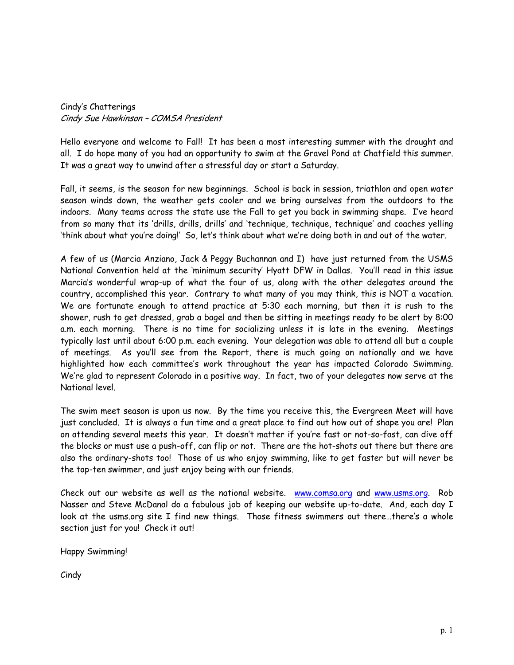Cindy's Chatterings Cindy Sue Hawkinson – COMSA President

Hello everyone and welcome to Fall! It has been a most interesting summer with the drought and all. I do hope many of you had an opportunity to swim at the Gravel Pond at Chatfield this summer. It was a great way to unwind after a stressful day or start a Saturday.

Fall, it seems, is the season for new beginnings. School is back in session, triathlon and open water season winds down, the weather gets cooler and we bring ourselves from the outdoors to the indoors. Many teams across the state use the Fall to get you back in swimming shape. I've heard from so many that its 'drills, drills, drills' and 'technique, technique, technique' and coaches yelling 'think about what you're doing!' So, let's think about what we're doing both in and out of the water.

A few of us (Marcia Anziano, Jack & Peggy Buchannan and I) have just returned from the USMS National Convention held at the 'minimum security' Hyatt DFW in Dallas. You'll read in this issue Marcia's wonderful wrap-up of what the four of us, along with the other delegates around the country, accomplished this year. Contrary to what many of you may think, this is NOT a vacation. We are fortunate enough to attend practice at 5:30 each morning, but then it is rush to the shower, rush to get dressed, grab a bagel and then be sitting in meetings ready to be alert by 8:00 a.m. each morning. There is no time for socializing unless it is late in the evening. Meetings typically last until about 6:00 p.m. each evening. Your delegation was able to attend all but a couple of meetings. As you'll see from the Report, there is much going on nationally and we have highlighted how each committee's work throughout the year has impacted Colorado Swimming. We're glad to represent Colorado in a positive way. In fact, two of your delegates now serve at the National level.

The swim meet season is upon us now. By the time you receive this, the Evergreen Meet will have just concluded. It is always a fun time and a great place to find out how out of shape you are! Plan on attending several meets this year. It doesn't matter if you're fast or not-so-fast, can dive off the blocks or must use a push-off, can flip or not. There are the hot-shots out there but there are also the ordinary-shots too! Those of us who enjoy swimming, like to get faster but will never be the top-ten swimmer, and just enjoy being with our friends.

Check out our website as well as the national website. [www.comsa.org](http://www.comsa.org/) and [www.usms.org.](http://www.usms.org/) Rob Nasser and Steve McDanal do a fabulous job of keeping our website up-to-date. And, each day I look at the usms.org site I find new things. Those fitness swimmers out there…there's a whole section just for you! Check it out!

Happy Swimming!

Cindy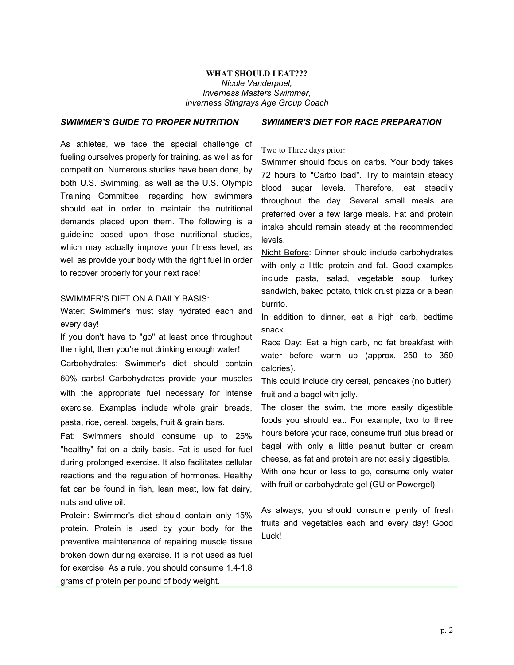### **WHAT SHOULD I EAT???** *Nicole Vanderpoel, Inverness Masters Swimmer, Inverness Stingrays Age Group Coach*

levels.

burrito.

## *SWIMMER'S GUIDE TO PROPER NUTRITION*

# *SWIMMER'S DIET FOR RACE PREPARATION*

Swimmer should focus on carbs. Your body takes 72 hours to "Carbo load". Try to maintain steady blood sugar levels. Therefore, eat steadily throughout the day. Several small meals are preferred over a few large meals. Fat and protein intake should remain steady at the recommended

Night Before: Dinner should include carbohydrates with only a little protein and fat. Good examples include pasta, salad, vegetable soup, turkey sandwich, baked potato, thick crust pizza or a bean

Two to Three days prior:

As athletes, we face the special challenge of fueling ourselves properly for training, as well as for competition. Numerous studies have been done, by both U.S. Swimming, as well as the U.S. Olympic Training Committee, regarding how swimmers should eat in order to maintain the nutritional demands placed upon them. The following is a guideline based upon those nutritional studies, which may actually improve your fitness level, as well as provide your body with the right fuel in order to recover properly for your next race!

### SWIMMER'S DIET ON A DAILY BASIS:

grams of protein per pound of body weight.

| In addition to dinner, eat a high carb, bedtime                                                                                                                                                                 |                                                         |  |
|-----------------------------------------------------------------------------------------------------------------------------------------------------------------------------------------------------------------|---------------------------------------------------------|--|
|                                                                                                                                                                                                                 |                                                         |  |
|                                                                                                                                                                                                                 |                                                         |  |
| Race Day: Eat a high carb, no fat breakfast with                                                                                                                                                                |                                                         |  |
| water before warm up (approx. 250 to 350                                                                                                                                                                        |                                                         |  |
|                                                                                                                                                                                                                 |                                                         |  |
| This could include dry cereal, pancakes (no butter),                                                                                                                                                            |                                                         |  |
|                                                                                                                                                                                                                 |                                                         |  |
| The closer the swim, the more easily digestible                                                                                                                                                                 |                                                         |  |
| foods you should eat. For example, two to three                                                                                                                                                                 |                                                         |  |
| hours before your race, consume fruit plus bread or                                                                                                                                                             |                                                         |  |
| bagel with only a little peanut butter or cream                                                                                                                                                                 |                                                         |  |
| "healthy" fat on a daily basis. Fat is used for fuel<br>cheese, as fat and protein are not easily digestible.<br>during prolonged exercise. It also facilitates cellular                                        |                                                         |  |
| With one hour or less to go, consume only water<br>reactions and the regulation of hormones. Healthy<br>with fruit or carbohydrate gel (GU or Powergel).<br>fat can be found in fish, lean meat, low fat dairy, |                                                         |  |
|                                                                                                                                                                                                                 | As always, you should consume plenty of fresh           |  |
|                                                                                                                                                                                                                 | fruits and vegetables each and every day! Good<br>Luck! |  |
|                                                                                                                                                                                                                 |                                                         |  |
|                                                                                                                                                                                                                 |                                                         |  |
|                                                                                                                                                                                                                 |                                                         |  |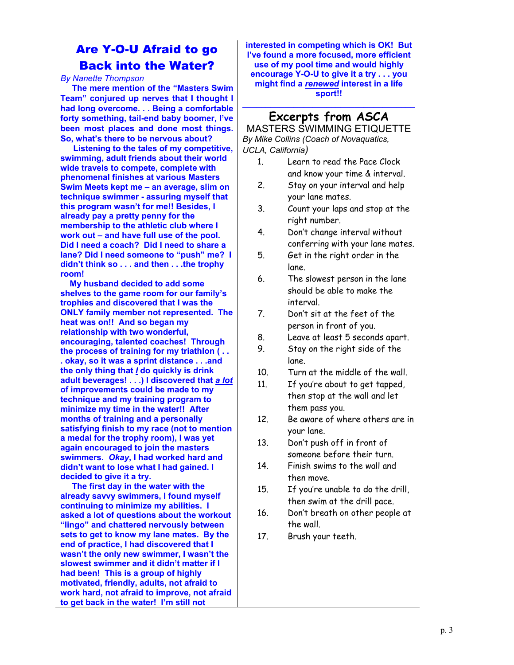# Are Y-O-U Afraid to go Back into the Water?

*By Nanette Thompson* 

 **The mere mention of the "Masters Swim Team" conjured up nerves that I thought I had long overcome. . . Being a comfortable forty something, tail-end baby boomer, I've been most places and done most things. So, what's there to be nervous about?** 

 **Listening to the tales of my competitive, swimming, adult friends about their world wide travels to compete, complete with phenomenal finishes at various Masters Swim Meets kept me – an average, slim on technique swimmer - assuring myself that this program wasn't for me!! Besides, I already pay a pretty penny for the membership to the athletic club where I work out – and have full use of the pool. Did I need a coach? Did I need to share a lane? Did I need someone to "push" me? I didn't think so . . . and then . . .the trophy room!** 

 **My husband decided to add some shelves to the game room for our family's trophies and discovered that I was the ONLY family member not represented. The heat was on!! And so began my relationship with two wonderful, encouraging, talented coaches! Through the process of training for my triathlon ( . . . okay, so it was a sprint distance . . .and the only thing that** *I* **do quickly is drink adult beverages! . . .) I discovered that** *a lot* **of improvements could be made to my technique and my training program to minimize my time in the water!! After months of training and a personally satisfying finish to my race (not to mention a medal for the trophy room), I was yet again encouraged to join the masters swimmers***. Okay***, I had worked hard and didn't want to lose what I had gained. I decided to give it a try.**

 **The first day in the water with the already savvy swimmers, I found myself continuing to minimize my abilities. I asked a lot of questions about the workout "lingo" and chattered nervously between sets to get to know my lane mates. By the end of practice, I had discovered that I wasn't the only new swimmer, I wasn't the slowest swimmer and it didn't matter if I had been! This is a group of highly motivated, friendly, adults, not afraid to work hard, not afraid to improve, not afraid to get back in the water! I'm still not** 

**interested in competing which is OK! But I've found a more focused, more efficient use of my pool time and would highly encourage Y-O-U to give it a try . . . you might find a** *renewed* **interest in a life sport!!** 

# **\_\_\_\_\_\_\_\_\_\_\_\_\_\_\_\_\_\_\_\_\_\_\_\_\_\_\_\_\_\_\_\_\_\_\_\_\_ Excerpts from ASCA**

MASTERS SWIMMING ETIQUETTE *By Mike Collins (Coach of Novaquatics, UCLA, California)* 

- 1. Learn to read the Pace Clock and know your time & interval.
- 2. Stay on your interval and help your lane mates.
- 3. Count your laps and stop at the right number.
- 4. Don't change interval without conferring with your lane mates.
- 5. Get in the right order in the lane.
- 6. The slowest person in the lane should be able to make the interval.
- 7. Don't sit at the feet of the person in front of you.
- 8. Leave at least 5 seconds apart.
- 9. Stay on the right side of the lane.
- 10. Turn at the middle of the wall.
- 11. If you're about to get tapped, then stop at the wall and let them pass you.
- 12. Be aware of where others are in your lane.
- 13. Don't push off in front of someone before their turn.
- 14. Finish swims to the wall and then move.
- 15. If you're unable to do the drill, then swim at the drill pace.
- 16. Don't breath on other people at the wall.
- 17. Brush your teeth.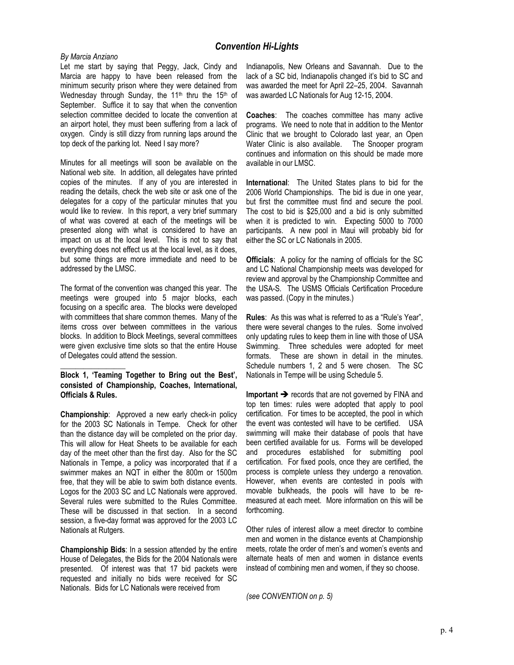# *Convention Hi-Lights*

### *By Marcia Anziano*

Let me start by saying that Peggy, Jack, Cindy and Marcia are happy to have been released from the minimum security prison where they were detained from Wednesday through Sunday, the  $11<sup>th</sup>$  thru the  $15<sup>th</sup>$  of September. Suffice it to say that when the convention selection committee decided to locate the convention at an airport hotel, they must been suffering from a lack of oxygen. Cindy is still dizzy from running laps around the top deck of the parking lot. Need I say more?

Minutes for all meetings will soon be available on the National web site. In addition, all delegates have printed copies of the minutes. If any of you are interested in reading the details, check the web site or ask one of the delegates for a copy of the particular minutes that you would like to review. In this report, a very brief summary of what was covered at each of the meetings will be presented along with what is considered to have an impact on us at the local level. This is not to say that everything does not effect us at the local level, as it does, but some things are more immediate and need to be addressed by the LMSC.

The format of the convention was changed this year. The meetings were grouped into 5 major blocks, each focusing on a specific area. The blocks were developed with committees that share common themes. Many of the items cross over between committees in the various blocks. In addition to Block Meetings, several committees were given exclusive time slots so that the entire House of Delegates could attend the session.

**Block 1, 'Teaming Together to Bring out the Best', consisted of Championship, Coaches, International, Officials & Rules.** 

 $\overline{\phantom{a}}$  , we can also the contract of  $\overline{\phantom{a}}$ 

**Championship**: Approved a new early check-in policy for the 2003 SC Nationals in Tempe. Check for other than the distance day will be completed on the prior day. This will allow for Heat Sheets to be available for each day of the meet other than the first day. Also for the SC Nationals in Tempe, a policy was incorporated that if a swimmer makes an NQT in either the 800m or 1500m free, that they will be able to swim both distance events. Logos for the 2003 SC and LC Nationals were approved. Several rules were submitted to the Rules Committee. These will be discussed in that section. In a second session, a five-day format was approved for the 2003 LC Nationals at Rutgers.

**Championship Bids**: In a session attended by the entire House of Delegates, the Bids for the 2004 Nationals were presented. Of interest was that 17 bid packets were requested and initially no bids were received for SC Nationals. Bids for LC Nationals were received from

Indianapolis, New Orleans and Savannah. Due to the lack of a SC bid, Indianapolis changed it's bid to SC and was awarded the meet for April 22–25, 2004. Savannah was awarded LC Nationals for Aug 12-15, 2004.

**Coaches**: The coaches committee has many active programs. We need to note that in addition to the Mentor Clinic that we brought to Colorado last year, an Open Water Clinic is also available. The Snooper program continues and information on this should be made more available in our LMSC.

**International**: The United States plans to bid for the 2006 World Championships. The bid is due in one year, but first the committee must find and secure the pool. The cost to bid is \$25,000 and a bid is only submitted when it is predicted to win. Expecting 5000 to 7000 participants. A new pool in Maui will probably bid for either the SC or LC Nationals in 2005.

**Officials:** A policy for the naming of officials for the SC and LC National Championship meets was developed for review and approval by the Championship Committee and the USA-S. The USMS Officials Certification Procedure was passed. (Copy in the minutes.)

**Rules**: As this was what is referred to as a "Rule's Year", there were several changes to the rules. Some involved only updating rules to keep them in line with those of USA Swimming. Three schedules were adopted for meet formats. These are shown in detail in the minutes. Schedule numbers 1, 2 and 5 were chosen. The SC Nationals in Tempe will be using Schedule 5.

**Important**  $\rightarrow$  records that are not governed by FINA and top ten times: rules were adopted that apply to pool certification. For times to be accepted, the pool in which the event was contested will have to be certified. USA swimming will make their database of pools that have been certified available for us. Forms will be developed and procedures established for submitting pool certification. For fixed pools, once they are certified, the process is complete unless they undergo a renovation. However, when events are contested in pools with movable bulkheads, the pools will have to be remeasured at each meet. More information on this will be forthcoming.

Other rules of interest allow a meet director to combine men and women in the distance events at Championship meets, rotate the order of men's and women's events and alternate heats of men and women in distance events instead of combining men and women, if they so choose.

*(see CONVENTION on p. 5)*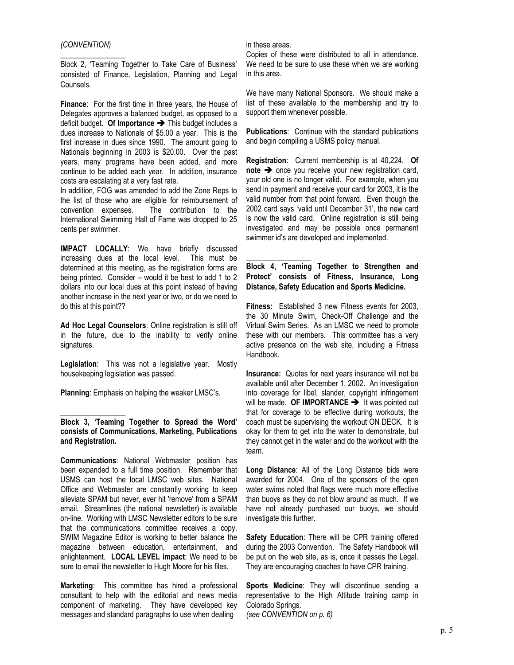### *(CONVENTION)*

 $\overline{\phantom{a}}$  , we can also the contract of  $\overline{\phantom{a}}$ 

Block 2, 'Teaming Together to Take Care of Business' consisted of Finance, Legislation, Planning and Legal Counsels.

**Finance**: For the first time in three years, the House of Delegates approves a balanced budget, as opposed to a deficit budget. Of Importance  $\rightarrow$  This budget includes a dues increase to Nationals of \$5.00 a year. This is the first increase in dues since 1990. The amount going to Nationals beginning in 2003 is \$20.00. Over the past years, many programs have been added, and more continue to be added each year. In addition, insurance costs are escalating at a very fast rate.

In addition, FOG was amended to add the Zone Reps to the list of those who are eligible for reimbursement of convention expenses. The contribution to the International Swimming Hall of Fame was dropped to 25 cents per swimmer.

**IMPACT LOCALLY**: We have briefly discussed increasing dues at the local level. This must be determined at this meeting, as the registration forms are being printed. Consider – would it be best to add 1 to 2 dollars into our local dues at this point instead of having another increase in the next year or two, or do we need to do this at this point??

**Ad Hoc Legal Counselors**: Online registration is still off in the future, due to the inability to verify online signatures.

**Legislation**: This was not a legislative year. Mostly housekeeping legislation was passed.

**Planning**: Emphasis on helping the weaker LMSC's.

 $\overline{\phantom{a}}$  , where  $\overline{\phantom{a}}$ 

### **Block 3, 'Teaming Together to Spread the Word' consists of Communications, Marketing, Publications and Registration.**

**Communications**: National Webmaster position has been expanded to a full time position. Remember that USMS can host the local LMSC web sites. National Office and Webmaster are constantly working to keep alleviate SPAM but never, ever hit 'remove' from a SPAM email. Streamlines (the national newsletter) is available on-line. Working with LMSC Newsletter editors to be sure that the communications committee receives a copy. SWIM Magazine Editor is working to better balance the magazine between education, entertainment, and enlightenment. **LOCAL LEVEL impact**: We need to be sure to email the newsletter to Hugh Moore for his files.

**Marketing**: This committee has hired a professional consultant to help with the editorial and news media component of marketing. They have developed key messages and standard paragraphs to use when dealing

#### in these areas.

 $\overline{\phantom{a}}$  , we can also the contract of  $\overline{\phantom{a}}$ 

Copies of these were distributed to all in attendance. We need to be sure to use these when we are working in this area.

We have many National Sponsors. We should make a list of these available to the membership and try to support them whenever possible.

**Publications**: Continue with the standard publications and begin compiling a USMS policy manual.

**Registration**: Current membership is at 40,224. **Of** note  $\rightarrow$  once you receive your new registration card, your old one is no longer valid. For example, when you send in payment and receive your card for 2003, it is the valid number from that point forward. Even though the 2002 card says 'valid until December 31', the new card is now the valid card. Online registration is still being investigated and may be possible once permanent swimmer id's are developed and implemented.

**Block 4, 'Teaming Together to Strengthen and Protect' consists of Fitness, Insurance, Long Distance, Safety Education and Sports Medicine.** 

**Fitness:** Established 3 new Fitness events for 2003, the 30 Minute Swim, Check-Off Challenge and the Virtual Swim Series. As an LMSC we need to promote these with our members. This committee has a very active presence on the web site, including a Fitness Handbook.

**Insurance:** Quotes for next years insurance will not be available until after December 1, 2002. An investigation into coverage for libel, slander, copyright infringement will be made. **OF IMPORTANCE** > It was pointed out that for coverage to be effective during workouts, the coach must be supervising the workout ON DECK. It is okay for them to get into the water to demonstrate, but they cannot get in the water and do the workout with the team.

**Long Distance**: All of the Long Distance bids were awarded for 2004. One of the sponsors of the open water swims noted that flags were much more effective than buoys as they do not blow around as much. If we have not already purchased our buoys, we should investigate this further.

**Safety Education**: There will be CPR training offered during the 2003 Convention. The Safety Handbook will be put on the web site, as is, once it passes the Legal. They are encouraging coaches to have CPR training.

**Sports Medicine**: They will discontinue sending a representative to the High Altitude training camp in Colorado Springs. *(see CONVENTION on p. 6)*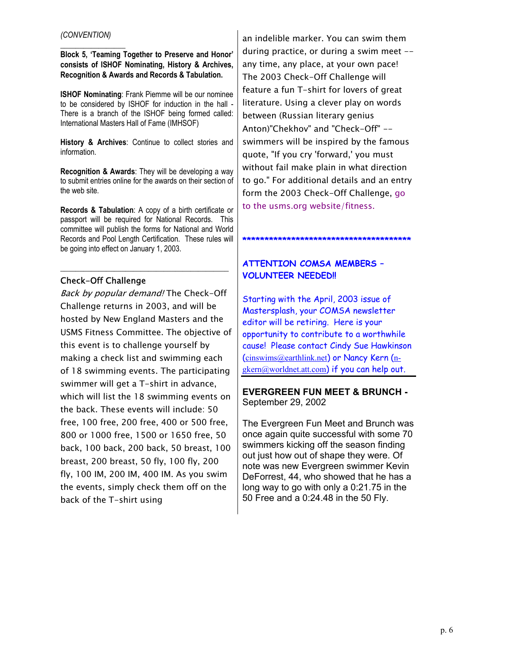### *(CONVENTION)*

 $\overline{\phantom{a}}$  , we can also the contract of  $\overline{\phantom{a}}$ 

**Block 5, 'Teaming Together to Preserve and Honor' consists of ISHOF Nominating, History & Archives, Recognition & Awards and Records & Tabulation.** 

**ISHOF Nominating**: Frank Piemme will be our nominee to be considered by ISHOF for induction in the hall - There is a branch of the ISHOF being formed called: International Masters Hall of Fame (IMHSOF)

**History & Archives**: Continue to collect stories and information.

**Recognition & Awards**: They will be developing a way to submit entries online for the awards on their section of the web site.

**Records & Tabulation**: A copy of a birth certificate or passport will be required for National Records. This committee will publish the forms for National and World Records and Pool Length Certification. These rules will be going into effect on January 1, 2003.

\_\_\_\_\_\_\_\_\_\_\_\_\_\_\_\_\_\_\_\_\_\_\_\_\_\_\_\_\_\_\_\_\_\_\_\_\_\_\_\_\_\_\_\_

# Check-Off Challenge

*Back by popular demand!* The Check–Off Challenge returns in 2003, and will be hosted by New England Masters and the USMS Fitness Committee. The objective of this event is to challenge yourself by making a check list and swimming each of 18 swimming events. The participating swimmer will get a T-shirt in advance, which will list the 18 swimming events on the back. These events will include: 50 free, 100 free, 200 free, 400 or 500 free, 800 or 1000 free, 1500 or 1650 free, 50 back, 100 back, 200 back, 50 breast, 100 breast, 200 breast, 50 fly, 100 fly, 200 fly, 100 IM, 200 IM, 400 IM. As you swim the events, simply check them off on the back of the T-shirt using

an indelible marker. You can swim them during practice, or during a swim meet - any time, any place, at your own pace! The 2003 Check-Off Challenge will feature a fun T-shirt for lovers of great literature. Using a clever play on words between (Russian literary genius Anton)"Chekhov" and "Check-Off" - swimmers will be inspired by the famous quote, "If you cry 'forward,' you must without fail make plain in what direction to go." For additional details and an entry form the 2003 Check-Off Challenge, go to the usms.org website/fitness.

#### \*\*\*\*\*\*\*\*\*\*\*\*\*\*\*\*\*\*\*\*\*\*\*\*\*\*\*\*\*\*\*\*\*\*\*

# **ATTENTION COMSA MEMBERS – VOLUNTEER NEEDED!!**

Starting with the April, 2003 issue of Mastersplash, your COMSA newsletter editor will be retiring. Here is your opportunity to contribute to a worthwhile cause! Please contact Cindy Sue Hawkinson ([cinswims@earthlink.net](mailto:cinswims@earthlink.net)) or Nancy Kern ([n](mailto:n-gkern@worldnet.att.com)[gkern@worldnet.att.com](mailto:n-gkern@worldnet.att.com)) if you can help out.

# **EVERGREEN FUN MEET & BRUNCH -**  September 29, 2002

The Evergreen Fun Meet and Brunch was once again quite successful with some 70 swimmers kicking off the season finding out just how out of shape they were. Of note was new Evergreen swimmer Kevin DeForrest, 44, who showed that he has a long way to go with only a 0:21.75 in the 50 Free and a 0:24.48 in the 50 Fly.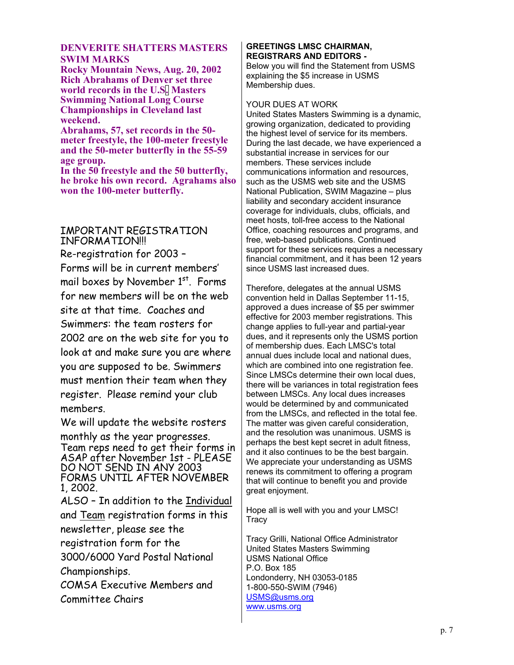# **DENVERITE SHATTERS MASTERS SWIM MARKS**

**Rocky Mountain News, Aug. 20, 2002 Rich Abrahams of Denver set three world records in the U.S. Masters Swimming National Long Course Championships in Cleveland last weekend.** 

**Abrahams, 57, set records in the 50 meter freestyle, the 100-meter freestyle and the 50-meter butterfly in the 55-59 age group.** 

**In the 50 freestyle and the 50 butterfly, he broke his own record. Agrahams also won the 100-meter butterfly.** 

# IMPORTANT REGISTRATION INFORMATION!!!

Re-registration for 2003 – Forms will be in current members' mail boxes by November 1<sup>st</sup>. Forms for new members will be on the web site at that time. Coaches and Swimmers: the team rosters for 2002 are on the web site for you to look at and make sure you are where you are supposed to be. Swimmers must mention their team when they register. Please remind your club members.

We will update the website rosters

monthly as the year progresses. Team reps need to get their forms in ASAP after November 1st - PLEASE DO NOT SEND IN ANY 2003 FORMS UNTIL AFTER NOVEMBER 1, 2002.

ALSO – In addition to the Individual and Team registration forms in this newsletter, please see the

registration form for the

3000/6000 Yard Postal National Championships.

COMSA Executive Members and Committee Chairs

# **GREETINGS LMSC CHAIRMAN, REGISTRARS AND EDITORS -**

Below you will find the Statement from USMS explaining the \$5 increase in USMS Membership dues.

# YOUR DUES AT WORK

United States Masters Swimming is a dynamic, growing organization, dedicated to providing the highest level of service for its members. During the last decade, we have experienced a substantial increase in services for our members. These services include communications information and resources, such as the USMS web site and the USMS National Publication, SWIM Magazine – plus liability and secondary accident insurance coverage for individuals, clubs, officials, and meet hosts, toll-free access to the National Office, coaching resources and programs, and free, web-based publications. Continued support for these services requires a necessary financial commitment, and it has been 12 years since USMS last increased dues.

Therefore, delegates at the annual USMS convention held in Dallas September 11-15, approved a dues increase of \$5 per swimmer effective for 2003 member registrations. This change applies to full-year and partial-year dues, and it represents only the USMS portion of membership dues. Each LMSC's total annual dues include local and national dues, which are combined into one registration fee. Since LMSCs determine their own local dues, there will be variances in total registration fees between LMSCs. Any local dues increases would be determined by and communicated from the LMSCs, and reflected in the total fee. The matter was given careful consideration, and the resolution was unanimous. USMS is perhaps the best kept secret in adult fitness, and it also continues to be the best bargain. We appreciate your understanding as USMS renews its commitment to offering a program that will continue to benefit you and provide great enjoyment.

Hope all is well with you and your LMSC! Tracy

Tracy Grilli, National Office Administrator United States Masters Swimming USMS National Office P.O. Box 185 Londonderry, NH 03053-0185 1-800-550-SWIM (7946) [USMS@usms.org](mailto:USMS@usms.org) [www.usms.org](http://www.usms.org/)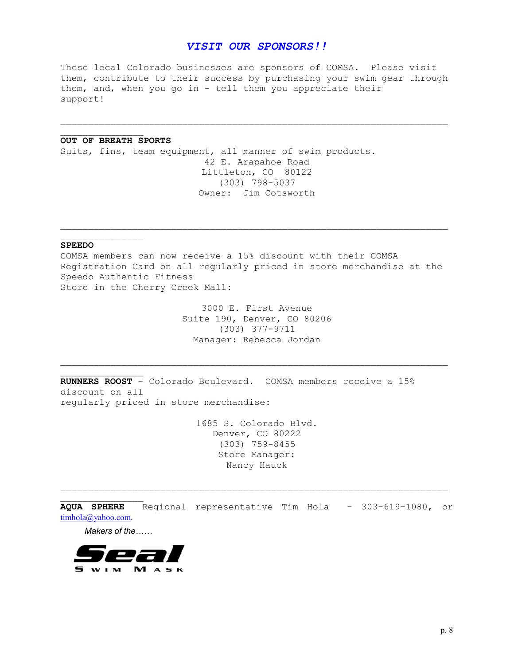# *VISIT OUR SPONSORS!!*

These local Colorado businesses are sponsors of COMSA. Please visit them, contribute to their success by purchasing your swim gear through them, and, when you go in - tell them you appreciate their support!

 $\_$  , and the set of the set of the set of the set of the set of the set of the set of the set of the set of the set of the set of the set of the set of the set of the set of the set of the set of the set of the set of th

### **OUT OF BREATH SPORTS**

 $\frac{1}{2}$  ,  $\frac{1}{2}$  ,  $\frac{1}{2}$  ,  $\frac{1}{2}$  ,  $\frac{1}{2}$  ,  $\frac{1}{2}$  ,  $\frac{1}{2}$  ,  $\frac{1}{2}$  ,  $\frac{1}{2}$ 

Suits, fins, team equipment, all manner of swim products. 42 E. Arapahoe Road Littleton, CO 80122 (303) 798-5037 Owner: Jim Cotsworth

### **SPEEDO**

COMSA members can now receive a 15% discount with their COMSA Registration Card on all regularly priced in store merchandise at the Speedo Authentic Fitness Store in the Cherry Creek Mall:

 $\_$  , and the set of the set of the set of the set of the set of the set of the set of the set of the set of the set of the set of the set of the set of the set of the set of the set of the set of the set of the set of th

3000 E. First Avenue Suite 190, Denver, CO 80206 (303) 377-9711 Manager: Rebecca Jordan

 $\_$  , and the set of the set of the set of the set of the set of the set of the set of the set of the set of the set of the set of the set of the set of the set of the set of the set of the set of the set of the set of th

**RUNNERS ROOST** – Colorado Boulevard. COMSA members receive a 15% discount on all regularly priced in store merchandise:

> 1685 S. Colorado Blvd. Denver, CO 80222 (303) 759-8455 Store Manager: Nancy Hauck

**AQUA SPHERE** Regional representative Tim Hola - 303-619-1080, or [timhola@yahoo.com.](mailto:timhola@yahoo.com)

 $\_$  , and the set of the set of the set of the set of the set of the set of the set of the set of the set of the set of the set of the set of the set of the set of the set of the set of the set of the set of the set of th

*Makers of the……* 

 $\frac{1}{2}$  ,  $\frac{1}{2}$  ,  $\frac{1}{2}$  ,  $\frac{1}{2}$  ,  $\frac{1}{2}$  ,  $\frac{1}{2}$  ,  $\frac{1}{2}$  ,  $\frac{1}{2}$  ,  $\frac{1}{2}$